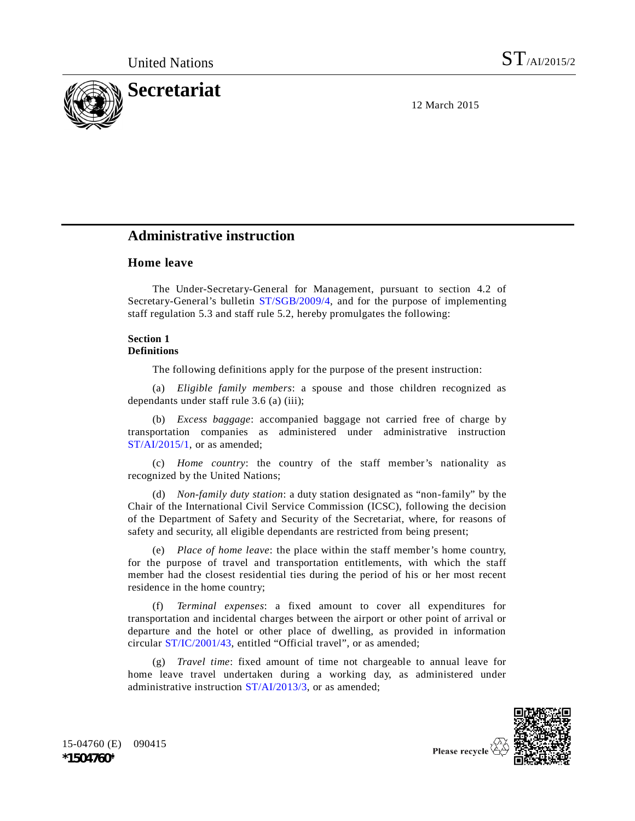

12 March 2015

# **Administrative instruction**

# **Home leave**

The Under-Secretary-General for Management, pursuant to section 4.2 of Secretary-General's bulletin ST/SGB/2009/4, and for the purpose of implementing staff regulation 5.3 and staff rule 5.2, hereby promulgates the following:

### **Section 1 Definitions**

The following definitions apply for the purpose of the present instruction:

(a) *Eligible family members*: a spouse and those children recognized as dependants under staff rule 3.6 (a) (iii);

(b) *Excess baggage*: accompanied baggage not carried free of charge by transportation companies as administered under administrative instruction ST/AI/2015/1, or as amended;

(c) *Home country*: the country of the staff member's nationality as recognized by the United Nations;

(d) *Non-family duty station*: a duty station designated as "non-family" by the Chair of the International Civil Service Commission (ICSC), following the decision of the Department of Safety and Security of the Secretariat, where, for reasons of safety and security, all eligible dependants are restricted from being present;

(e) *Place of home leave*: the place within the staff member's home country, for the purpose of travel and transportation entitlements, with which the staff member had the closest residential ties during the period of his or her most recent residence in the home country;

(f) *Terminal expenses*: a fixed amount to cover all expenditures for transportation and incidental charges between the airport or other point of arrival or departure and the hotel or other place of dwelling, as provided in information circular ST/IC/2001/43, entitled "Official travel", or as amended;

(g) *Travel time*: fixed amount of time not chargeable to annual leave for home leave travel undertaken during a working day, as administered under administrative instruction ST/AI/2013/3, or as amended;



15-04760 (E) 090415 **\*1504760\***

Please recycle <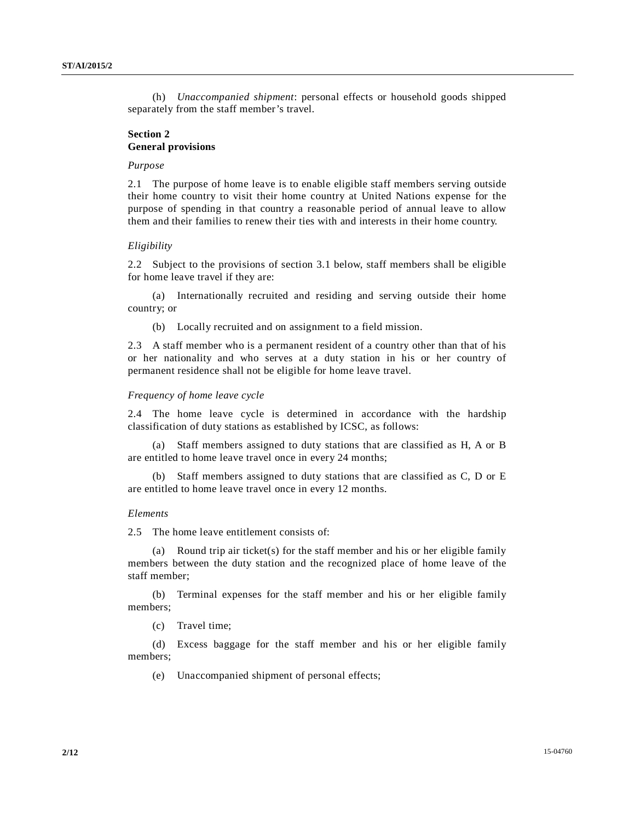(h) *Unaccompanied shipment*: personal effects or household goods shipped separately from the staff member's travel.

# **Section 2 General provisions**

### *Purpose*

2.1 The purpose of home leave is to enable eligible staff members serving outside their home country to visit their home country at United Nations expense for the purpose of spending in that country a reasonable period of annual leave to allow them and their families to renew their ties with and interests in their home country.

### *Eligibility*

2.2 Subject to the provisions of section 3.1 below, staff members shall be eligible for home leave travel if they are:

(a) Internationally recruited and residing and serving outside their home country; or

(b) Locally recruited and on assignment to a field mission.

2.3 A staff member who is a permanent resident of a country other than that of his or her nationality and who serves at a duty station in his or her country of permanent residence shall not be eligible for home leave travel.

### *Frequency of home leave cycle*

2.4 The home leave cycle is determined in accordance with the hardship classification of duty stations as established by ICSC, as follows:

(a) Staff members assigned to duty stations that are classified as H, A or B are entitled to home leave travel once in every 24 months;

(b) Staff members assigned to duty stations that are classified as C, D or E are entitled to home leave travel once in every 12 months.

#### *Elements*

2.5 The home leave entitlement consists of:

(a) Round trip air ticket(s) for the staff member and his or her eligible family members between the duty station and the recognized place of home leave of the staff member;

(b) Terminal expenses for the staff member and his or her eligible family members;

(c) Travel time;

(d) Excess baggage for the staff member and his or her eligible family members;

(e) Unaccompanied shipment of personal effects;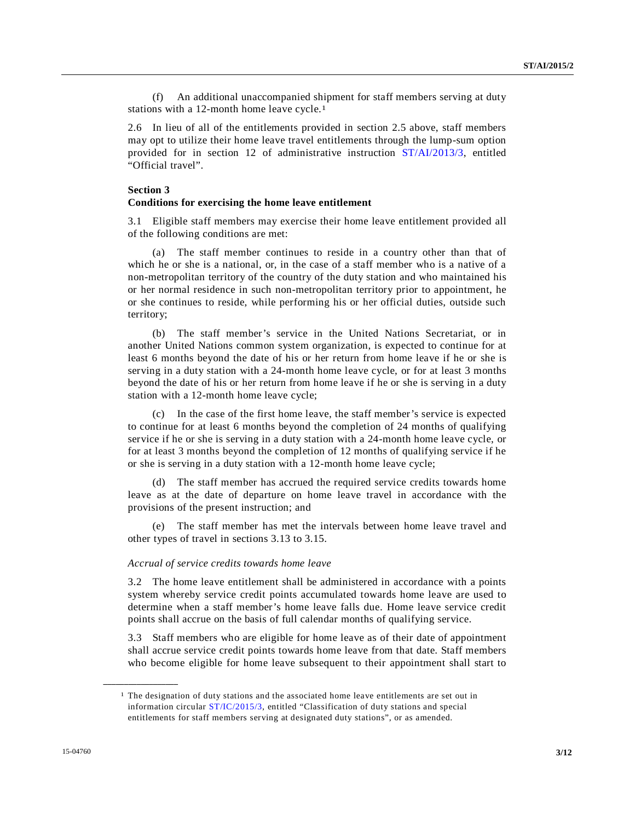(f) An additional unaccompanied shipment for staff members serving at duty stations with a 12-month home leave cycle.1

2.6 In lieu of all of the entitlements provided in section 2.5 above, staff members may opt to utilize their home leave travel entitlements through the lump-sum option provided for in section 12 of administrative instruction ST/AI/2013/3, entitled "Official travel".

# **Section 3**

### **Conditions for exercising the home leave entitlement**

3.1 Eligible staff members may exercise their home leave entitlement provided all of the following conditions are met:

(a) The staff member continues to reside in a country other than that of which he or she is a national, or, in the case of a staff member who is a native of a non-metropolitan territory of the country of the duty station and who maintained his or her normal residence in such non-metropolitan territory prior to appointment, he or she continues to reside, while performing his or her official duties, outside such territory;

(b) The staff member's service in the United Nations Secretariat, or in another United Nations common system organization, is expected to continue for at least 6 months beyond the date of his or her return from home leave if he or she is serving in a duty station with a 24-month home leave cycle, or for at least 3 months beyond the date of his or her return from home leave if he or she is serving in a duty station with a 12-month home leave cycle;

(c) In the case of the first home leave, the staff member's service is expected to continue for at least 6 months beyond the completion of 24 months of qualifying service if he or she is serving in a duty station with a 24-month home leave cycle, or for at least 3 months beyond the completion of 12 months of qualifying service if he or she is serving in a duty station with a 12-month home leave cycle;

(d) The staff member has accrued the required service credits towards home leave as at the date of departure on home leave travel in accordance with the provisions of the present instruction; and

(e) The staff member has met the intervals between home leave travel and other types of travel in sections 3.13 to 3.15.

### *Accrual of service credits towards home leave*

3.2 The home leave entitlement shall be administered in accordance with a points system whereby service credit points accumulated towards home leave are used to determine when a staff member's home leave falls due. Home leave service credit points shall accrue on the basis of full calendar months of qualifying service.

3.3 Staff members who are eligible for home leave as of their date of appointment shall accrue service credit points towards home leave from that date. Staff members who become eligible for home leave subsequent to their appointment shall start to

<sup>&</sup>lt;sup>1</sup> The designation of duty stations and the associated home leave entitlements are set out in information circular ST/IC/2015/3, entitled "Classification of duty stations and special entitlements for staff members serving at designated duty stations", or as amended.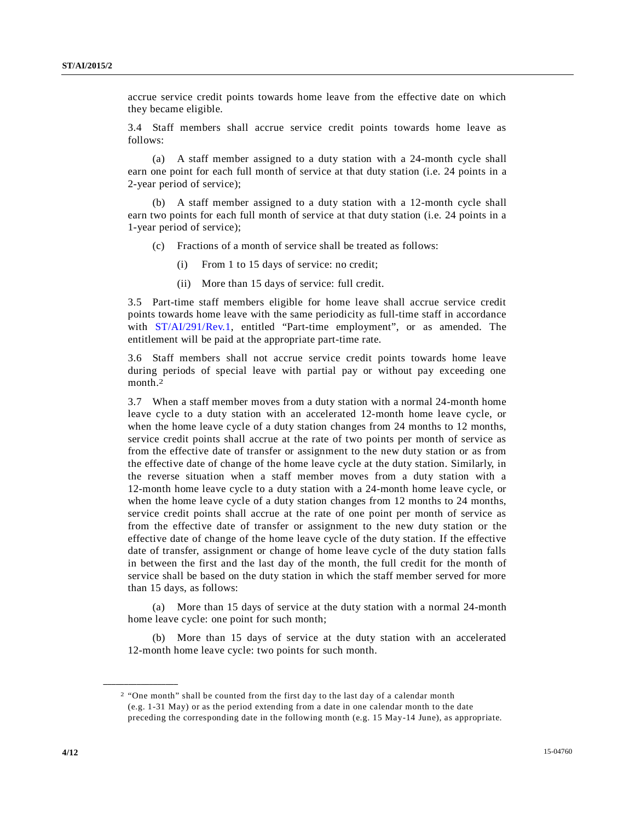accrue service credit points towards home leave from the effective date on which they became eligible.

3.4 Staff members shall accrue service credit points towards home leave as follows:

(a) A staff member assigned to a duty station with a 24-month cycle shall earn one point for each full month of service at that duty station (i.e. 24 points in a 2-year period of service);

(b) A staff member assigned to a duty station with a 12-month cycle shall earn two points for each full month of service at that duty station (i.e. 24 points in a 1-year period of service);

- Fractions of a month of service shall be treated as follows:
	- (i) From 1 to 15 days of service: no credit;
	- (ii) More than 15 days of service: full credit.

3.5 Part-time staff members eligible for home leave shall accrue service credit points towards home leave with the same periodicity as full-time staff in accordance with ST/AI/291/Rev.1, entitled "Part-time employment", or as amended. The entitlement will be paid at the appropriate part-time rate.

3.6 Staff members shall not accrue service credit points towards home leave during periods of special leave with partial pay or without pay exceeding one month.2

3.7 When a staff member moves from a duty station with a normal 24-month home leave cycle to a duty station with an accelerated 12-month home leave cycle, or when the home leave cycle of a duty station changes from 24 months to 12 months, service credit points shall accrue at the rate of two points per month of service as from the effective date of transfer or assignment to the new duty station or as from the effective date of change of the home leave cycle at the duty station. Similarly, in the reverse situation when a staff member moves from a duty station with a 12-month home leave cycle to a duty station with a 24-month home leave cycle, or when the home leave cycle of a duty station changes from 12 months to 24 months, service credit points shall accrue at the rate of one point per month of service as from the effective date of transfer or assignment to the new duty station or the effective date of change of the home leave cycle of the duty station. If the effective date of transfer, assignment or change of home leave cycle of the duty station falls in between the first and the last day of the month, the full credit for the month of service shall be based on the duty station in which the staff member served for more than 15 days, as follows:

(a) More than 15 days of service at the duty station with a normal 24-month home leave cycle: one point for such month;

(b) More than 15 days of service at the duty station with an accelerated 12-month home leave cycle: two points for such month.

<sup>2</sup> "One month" shall be counted from the first day to the last day of a calendar month (e.g. 1-31 May) or as the period extending from a date in one calendar month to the date preceding the corresponding date in the following month (e.g. 15 May-14 June), as appropriate.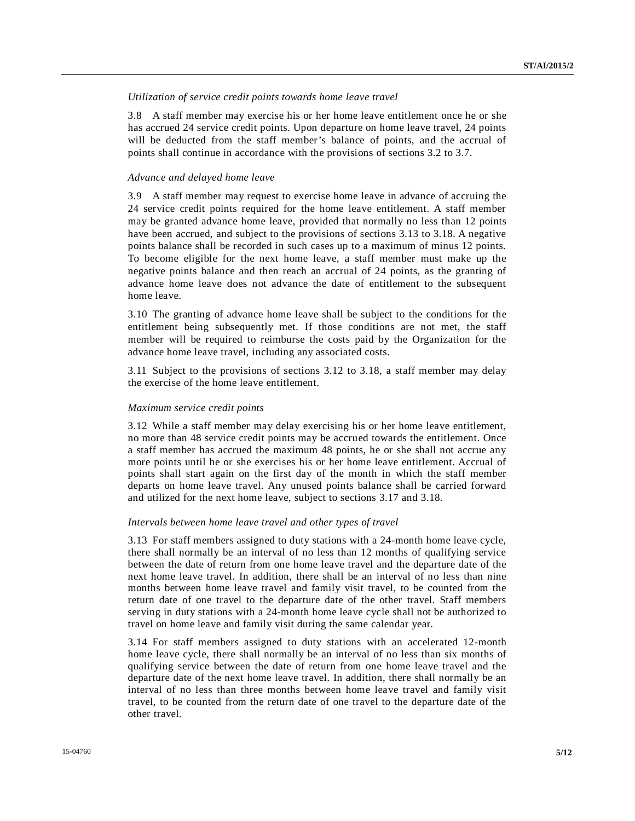# *Utilization of service credit points towards home leave travel*

3.8 A staff member may exercise his or her home leave entitlement once he or she has accrued 24 service credit points. Upon departure on home leave travel, 24 points will be deducted from the staff member's balance of points, and the accrual of points shall continue in accordance with the provisions of sections 3.2 to 3.7.

### *Advance and delayed home leave*

3.9 A staff member may request to exercise home leave in advance of accruing the 24 service credit points required for the home leave entitlement. A staff member may be granted advance home leave, provided that normally no less than 12 points have been accrued, and subject to the provisions of sections 3.13 to 3.18. A negative points balance shall be recorded in such cases up to a maximum of minus 12 points. To become eligible for the next home leave, a staff member must make up the negative points balance and then reach an accrual of 24 points, as the granting of advance home leave does not advance the date of entitlement to the subsequent home leave.

3.10 The granting of advance home leave shall be subject to the conditions for the entitlement being subsequently met. If those conditions are not met, the staff member will be required to reimburse the costs paid by the Organization for the advance home leave travel, including any associated costs.

3.11 Subject to the provisions of sections 3.12 to 3.18, a staff member may delay the exercise of the home leave entitlement.

# *Maximum service credit points*

3.12 While a staff member may delay exercising his or her home leave entitlement, no more than 48 service credit points may be accrued towards the entitlement. Once a staff member has accrued the maximum 48 points, he or she shall not accrue any more points until he or she exercises his or her home leave entitlement. Accrual of points shall start again on the first day of the month in which the staff member departs on home leave travel. Any unused points balance shall be carried forward and utilized for the next home leave, subject to sections 3.17 and 3.18.

#### *Intervals between home leave travel and other types of travel*

3.13 For staff members assigned to duty stations with a 24-month home leave cycle, there shall normally be an interval of no less than 12 months of qualifying service between the date of return from one home leave travel and the departure date of the next home leave travel. In addition, there shall be an interval of no less than nine months between home leave travel and family visit travel, to be counted from the return date of one travel to the departure date of the other travel. Staff members serving in duty stations with a 24-month home leave cycle shall not be authorized to travel on home leave and family visit during the same calendar year.

3.14 For staff members assigned to duty stations with an accelerated 12-month home leave cycle, there shall normally be an interval of no less than six months of qualifying service between the date of return from one home leave travel and the departure date of the next home leave travel. In addition, there shall normally be an interval of no less than three months between home leave travel and family visit travel, to be counted from the return date of one travel to the departure date of the other travel.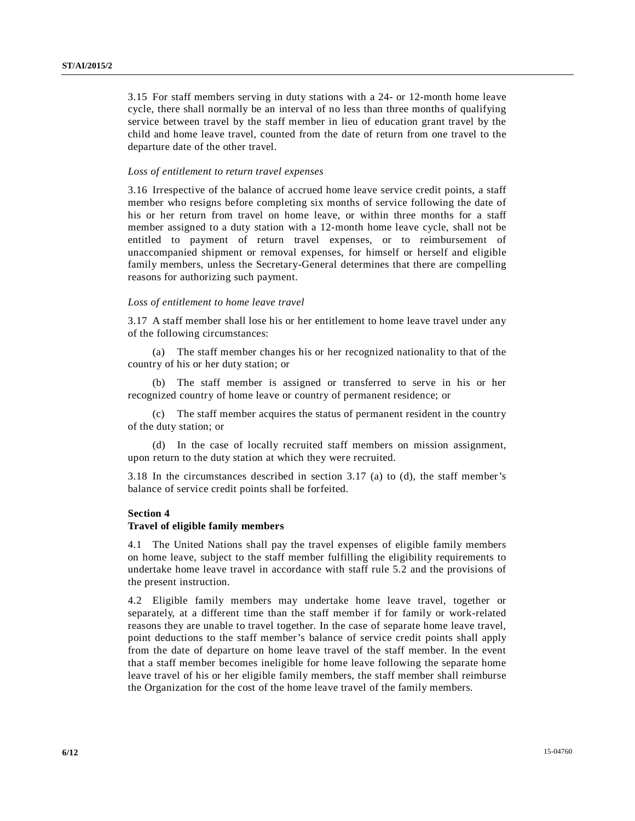3.15 For staff members serving in duty stations with a 24- or 12-month home leave cycle, there shall normally be an interval of no less than three months of qualifying service between travel by the staff member in lieu of education grant travel by the child and home leave travel, counted from the date of return from one travel to the departure date of the other travel.

#### *Loss of entitlement to return travel expenses*

3.16 Irrespective of the balance of accrued home leave service credit points, a staff member who resigns before completing six months of service following the date of his or her return from travel on home leave, or within three months for a staff member assigned to a duty station with a 12-month home leave cycle, shall not be entitled to payment of return travel expenses, or to reimbursement of unaccompanied shipment or removal expenses, for himself or herself and eligible family members, unless the Secretary-General determines that there are compelling reasons for authorizing such payment.

### *Loss of entitlement to home leave travel*

3.17 A staff member shall lose his or her entitlement to home leave travel under any of the following circumstances:

(a) The staff member changes his or her recognized nationality to that of the country of his or her duty station; or

(b) The staff member is assigned or transferred to serve in his or her recognized country of home leave or country of permanent residence; or

(c) The staff member acquires the status of permanent resident in the country of the duty station; or

(d) In the case of locally recruited staff members on mission assignment, upon return to the duty station at which they were recruited.

3.18 In the circumstances described in section 3.17 (a) to (d), the staff member's balance of service credit points shall be forfeited.

### **Section 4**

### **Travel of eligible family members**

4.1 The United Nations shall pay the travel expenses of eligible family members on home leave, subject to the staff member fulfilling the eligibility requirements to undertake home leave travel in accordance with staff rule 5.2 and the provisions of the present instruction.

4.2 Eligible family members may undertake home leave travel, together or separately, at a different time than the staff member if for family or work-related reasons they are unable to travel together. In the case of separate home leave travel, point deductions to the staff member's balance of service credit points shall apply from the date of departure on home leave travel of the staff member. In the event that a staff member becomes ineligible for home leave following the separate home leave travel of his or her eligible family members, the staff member shall reimburse the Organization for the cost of the home leave travel of the family members.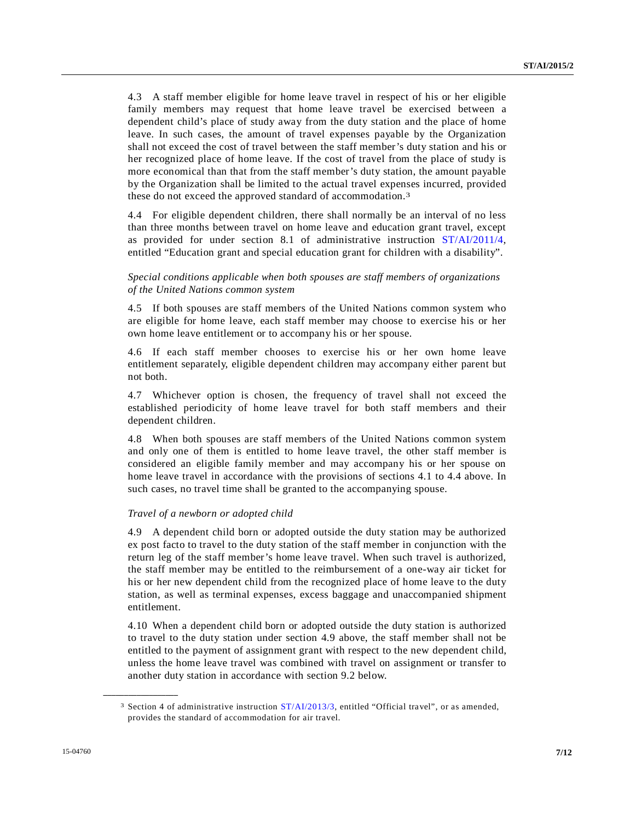4.3 A staff member eligible for home leave travel in respect of his or her eligible family members may request that home leave travel be exercised between a dependent child's place of study away from the duty station and the place of home leave. In such cases, the amount of travel expenses payable by the Organization shall not exceed the cost of travel between the staff member's duty station and his or her recognized place of home leave. If the cost of travel from the place of study is more economical than that from the staff member's duty station, the amount payable by the Organization shall be limited to the actual travel expenses incurred, provided these do not exceed the approved standard of accommodation.3

4.4 For eligible dependent children, there shall normally be an interval of no less than three months between travel on home leave and education grant travel, except as provided for under section 8.1 of administrative instruction ST/AI/2011/4, entitled "Education grant and special education grant for children with a disability".

# *Special conditions applicable when both spouses are staff members of organizations of the United Nations common system*

4.5 If both spouses are staff members of the United Nations common system who are eligible for home leave, each staff member may choose to exercise his or her own home leave entitlement or to accompany his or her spouse.

4.6 If each staff member chooses to exercise his or her own home leave entitlement separately, eligible dependent children may accompany either parent but not both.

4.7 Whichever option is chosen, the frequency of travel shall not exceed the established periodicity of home leave travel for both staff members and their dependent children.

4.8 When both spouses are staff members of the United Nations common system and only one of them is entitled to home leave travel, the other staff member is considered an eligible family member and may accompany his or her spouse on home leave travel in accordance with the provisions of sections 4.1 to 4.4 above. In such cases, no travel time shall be granted to the accompanying spouse.

# *Travel of a newborn or adopted child*

4.9 A dependent child born or adopted outside the duty station may be authorized ex post facto to travel to the duty station of the staff member in conjunction with the return leg of the staff member's home leave travel. When such travel is authorized, the staff member may be entitled to the reimbursement of a one-way air ticket for his or her new dependent child from the recognized place of home leave to the duty station, as well as terminal expenses, excess baggage and unaccompanied shipment entitlement.

4.10 When a dependent child born or adopted outside the duty station is authorized to travel to the duty station under section 4.9 above, the staff member shall not be entitled to the payment of assignment grant with respect to the new dependent child, unless the home leave travel was combined with travel on assignment or transfer to another duty station in accordance with section 9.2 below.

<sup>3</sup> Section 4 of administrative instruction ST/AI/2013/3, entitled "Official travel", or as amended, provides the standard of accommodation for air travel.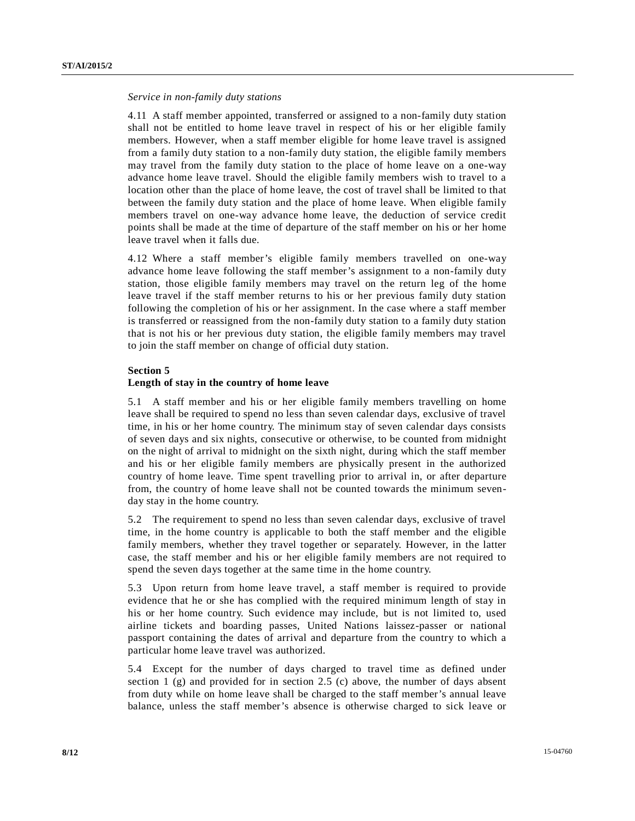### *Service in non-family duty stations*

4.11 A staff member appointed, transferred or assigned to a non-family duty station shall not be entitled to home leave travel in respect of his or her eligible family members. However, when a staff member eligible for home leave travel is assigned from a family duty station to a non-family duty station, the eligible family members may travel from the family duty station to the place of home leave on a one-way advance home leave travel. Should the eligible family members wish to travel to a location other than the place of home leave, the cost of travel shall be limited to that between the family duty station and the place of home leave. When eligible family members travel on one-way advance home leave, the deduction of service credit points shall be made at the time of departure of the staff member on his or her home leave travel when it falls due.

4.12 Where a staff member's eligible family members travelled on one-way advance home leave following the staff member's assignment to a non-family duty station, those eligible family members may travel on the return leg of the home leave travel if the staff member returns to his or her previous family duty station following the completion of his or her assignment. In the case where a staff member is transferred or reassigned from the non-family duty station to a family duty station that is not his or her previous duty station, the eligible family members may travel to join the staff member on change of official duty station.

### **Section 5**

### **Length of stay in the country of home leave**

5.1 A staff member and his or her eligible family members travelling on home leave shall be required to spend no less than seven calendar days, exclusive of travel time, in his or her home country. The minimum stay of seven calendar days consists of seven days and six nights, consecutive or otherwise, to be counted from midnight on the night of arrival to midnight on the sixth night, during which the staff member and his or her eligible family members are physically present in the authorized country of home leave. Time spent travelling prior to arrival in, or after departure from, the country of home leave shall not be counted towards the minimum sevenday stay in the home country.

5.2 The requirement to spend no less than seven calendar days, exclusive of travel time, in the home country is applicable to both the staff member and the eligible family members, whether they travel together or separately. However, in the latter case, the staff member and his or her eligible family members are not required to spend the seven days together at the same time in the home country.

5.3 Upon return from home leave travel, a staff member is required to provide evidence that he or she has complied with the required minimum length of stay in his or her home country. Such evidence may include, but is not limited to, used airline tickets and boarding passes, United Nations laissez-passer or national passport containing the dates of arrival and departure from the country to which a particular home leave travel was authorized.

5.4 Except for the number of days charged to travel time as defined under section  $1$  (g) and provided for in section 2.5 (c) above, the number of days absent from duty while on home leave shall be charged to the staff member's annual leave balance, unless the staff member's absence is otherwise charged to sick leave or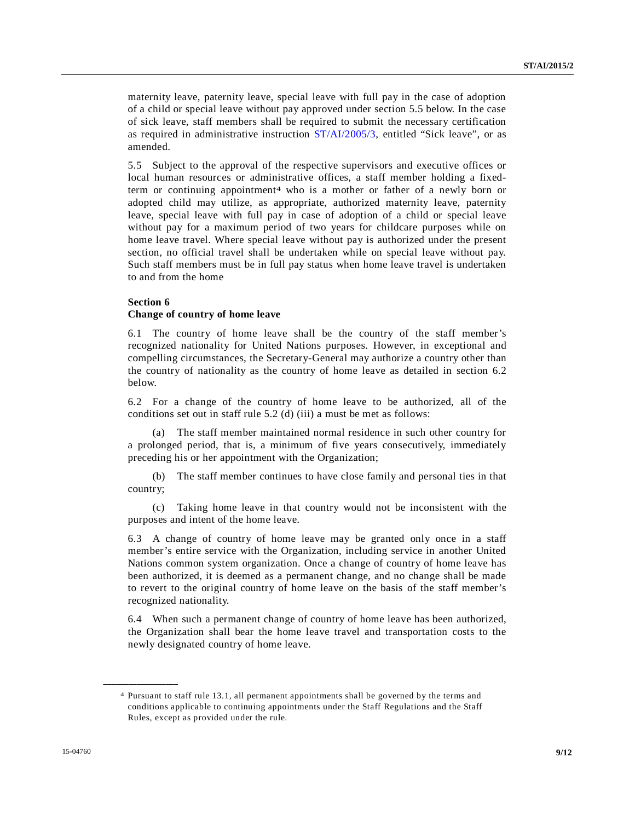maternity leave, paternity leave, special leave with full pay in the case of adoption of a child or special leave without pay approved under section 5.5 below. In the case of sick leave, staff members shall be required to submit the necessary certification as required in administrative instruction ST/AI/2005/3, entitled "Sick leave", or as amended.

5.5 Subject to the approval of the respective supervisors and executive offices or local human resources or administrative offices, a staff member holding a fixedterm or continuing appointment4 who is a mother or father of a newly born or adopted child may utilize, as appropriate, authorized maternity leave, paternity leave, special leave with full pay in case of adoption of a child or special leave without pay for a maximum period of two years for childcare purposes while on home leave travel. Where special leave without pay is authorized under the present section, no official travel shall be undertaken while on special leave without pay. Such staff members must be in full pay status when home leave travel is undertaken to and from the home

# **Section 6**

# **Change of country of home leave**

6.1 The country of home leave shall be the country of the staff member's recognized nationality for United Nations purposes. However, in exceptional and compelling circumstances, the Secretary-General may authorize a country other than the country of nationality as the country of home leave as detailed in section 6.2 below.

6.2 For a change of the country of home leave to be authorized, all of the conditions set out in staff rule 5.2 (d) (iii) a must be met as follows:

(a) The staff member maintained normal residence in such other country for a prolonged period, that is, a minimum of five years consecutively, immediately preceding his or her appointment with the Organization;

(b) The staff member continues to have close family and personal ties in that country;

(c) Taking home leave in that country would not be inconsistent with the purposes and intent of the home leave.

6.3 A change of country of home leave may be granted only once in a staff member's entire service with the Organization, including service in another United Nations common system organization. Once a change of country of home leave has been authorized, it is deemed as a permanent change, and no change shall be made to revert to the original country of home leave on the basis of the staff member's recognized nationality.

6.4 When such a permanent change of country of home leave has been authorized, the Organization shall bear the home leave travel and transportation costs to the newly designated country of home leave.

<sup>4</sup> Pursuant to staff rule 13.1, all permanent appointments shall be governed by the terms and conditions applicable to continuing appointments under the Staff Regulations and the Staff Rules, except as provided under the rule.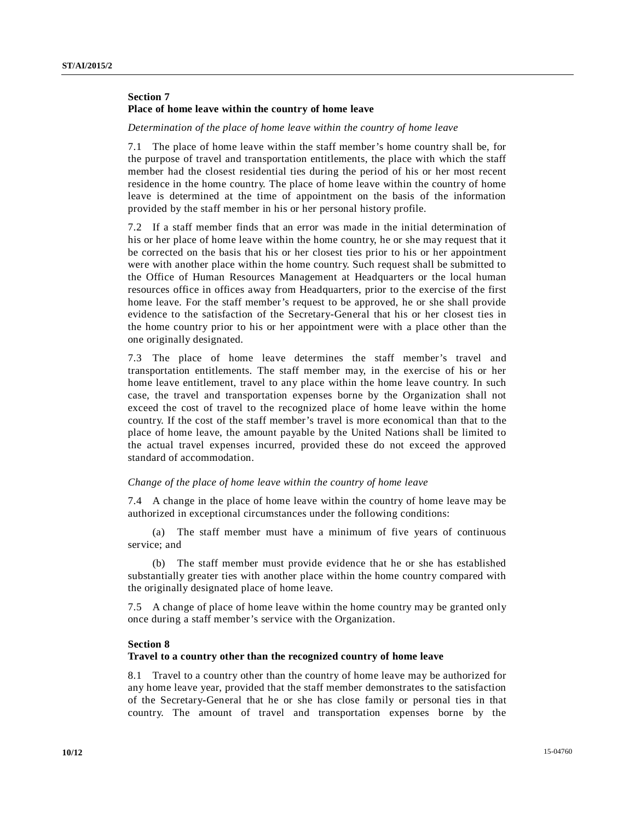# **Section 7 Place of home leave within the country of home leave**

#### *Determination of the place of home leave within the country of home leave*

7.1 The place of home leave within the staff member's home country shall be, for the purpose of travel and transportation entitlements, the place with which the staff member had the closest residential ties during the period of his or her most recent residence in the home country. The place of home leave within the country of home leave is determined at the time of appointment on the basis of the information provided by the staff member in his or her personal history profile.

7.2 If a staff member finds that an error was made in the initial determination of his or her place of home leave within the home country, he or she may request that it be corrected on the basis that his or her closest ties prior to his or her appointment were with another place within the home country. Such request shall be submitted to the Office of Human Resources Management at Headquarters or the local human resources office in offices away from Headquarters, prior to the exercise of the first home leave. For the staff member's request to be approved, he or she shall provide evidence to the satisfaction of the Secretary-General that his or her closest ties in the home country prior to his or her appointment were with a place other than the one originally designated.

7.3 The place of home leave determines the staff member's travel and transportation entitlements. The staff member may, in the exercise of his or her home leave entitlement, travel to any place within the home leave country. In such case, the travel and transportation expenses borne by the Organization shall not exceed the cost of travel to the recognized place of home leave within the home country. If the cost of the staff member's travel is more economical than that to the place of home leave, the amount payable by the United Nations shall be limited to the actual travel expenses incurred, provided these do not exceed the approved standard of accommodation.

### *Change of the place of home leave within the country of home leave*

7.4 A change in the place of home leave within the country of home leave may be authorized in exceptional circumstances under the following conditions:

(a) The staff member must have a minimum of five years of continuous service; and

(b) The staff member must provide evidence that he or she has established substantially greater ties with another place within the home country compared with the originally designated place of home leave.

7.5 A change of place of home leave within the home country may be granted only once during a staff member's service with the Organization.

### **Section 8**

### **Travel to a country other than the recognized country of home leave**

8.1 Travel to a country other than the country of home leave may be authorized for any home leave year, provided that the staff member demonstrates to the satisfaction of the Secretary-General that he or she has close family or personal ties in that country. The amount of travel and transportation expenses borne by the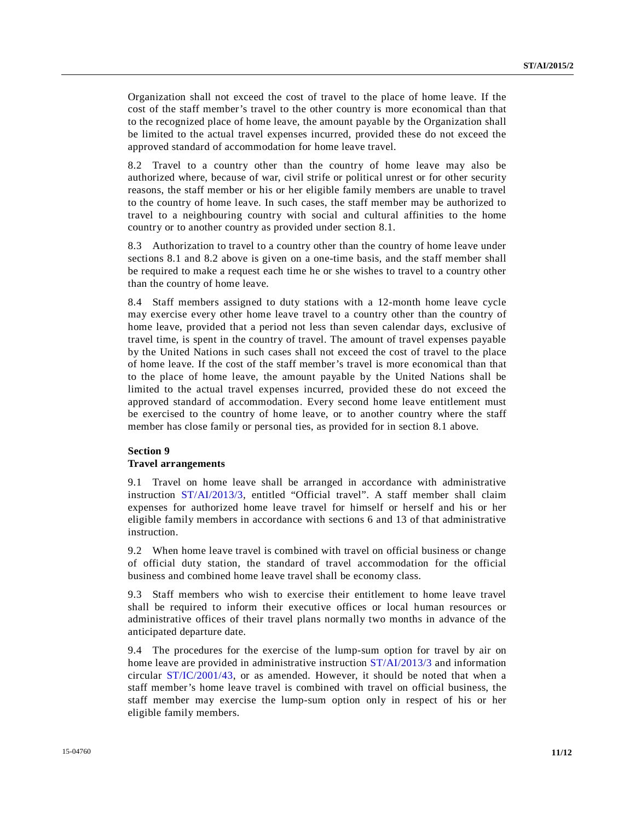Organization shall not exceed the cost of travel to the place of home leave. If the cost of the staff member's travel to the other country is more economical than that to the recognized place of home leave, the amount payable by the Organization shall be limited to the actual travel expenses incurred, provided these do not exceed the approved standard of accommodation for home leave travel.

8.2 Travel to a country other than the country of home leave may also be authorized where, because of war, civil strife or political unrest or for other security reasons, the staff member or his or her eligible family members are unable to travel to the country of home leave. In such cases, the staff member may be authorized to travel to a neighbouring country with social and cultural affinities to the home country or to another country as provided under section 8.1.

8.3 Authorization to travel to a country other than the country of home leave under sections 8.1 and 8.2 above is given on a one-time basis, and the staff member shall be required to make a request each time he or she wishes to travel to a country other than the country of home leave.

8.4 Staff members assigned to duty stations with a 12-month home leave cycle may exercise every other home leave travel to a country other than the country of home leave, provided that a period not less than seven calendar days, exclusive of travel time, is spent in the country of travel. The amount of travel expenses payable by the United Nations in such cases shall not exceed the cost of travel to the place of home leave. If the cost of the staff member's travel is more economical than that to the place of home leave, the amount payable by the United Nations shall be limited to the actual travel expenses incurred, provided these do not exceed the approved standard of accommodation. Every second home leave entitlement must be exercised to the country of home leave, or to another country where the staff member has close family or personal ties, as provided for in section 8.1 above.

# **Section 9 Travel arrangements**

9.1 Travel on home leave shall be arranged in accordance with administrative instruction ST/AI/2013/3, entitled "Official travel". A staff member shall claim expenses for authorized home leave travel for himself or herself and his or her eligible family members in accordance with sections 6 and 13 of that administrative instruction.

9.2 When home leave travel is combined with travel on official business or change of official duty station, the standard of travel accommodation for the official business and combined home leave travel shall be economy class.

9.3 Staff members who wish to exercise their entitlement to home leave travel shall be required to inform their executive offices or local human resources or administrative offices of their travel plans normally two months in advance of the anticipated departure date.

9.4 The procedures for the exercise of the lump-sum option for travel by air on home leave are provided in administrative instruction ST/AI/2013/3 and information circular  $ST/IC/2001/43$ , or as amended. However, it should be noted that when a staff member's home leave travel is combined with travel on official business, the staff member may exercise the lump-sum option only in respect of his or her eligible family members.